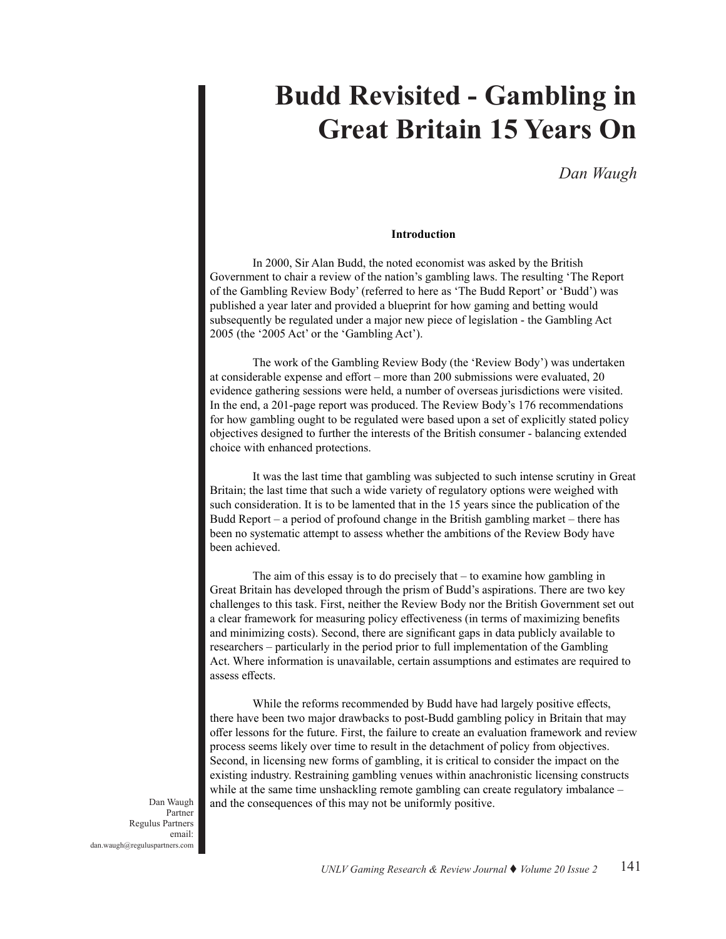# **Budd Revisited - Gambling in Great Britain 15 Years On**

*Dan Waugh*

## **Introduction**

In 2000, Sir Alan Budd, the noted economist was asked by the British Government to chair a review of the nation's gambling laws. The resulting 'The Report of the Gambling Review Body' (referred to here as 'The Budd Report' or 'Budd') was published a year later and provided a blueprint for how gaming and betting would subsequently be regulated under a major new piece of legislation - the Gambling Act 2005 (the '2005 Act' or the 'Gambling Act').

The work of the Gambling Review Body (the 'Review Body') was undertaken at considerable expense and effort – more than 200 submissions were evaluated, 20 evidence gathering sessions were held, a number of overseas jurisdictions were visited. In the end, a 201-page report was produced. The Review Body's 176 recommendations for how gambling ought to be regulated were based upon a set of explicitly stated policy objectives designed to further the interests of the British consumer - balancing extended choice with enhanced protections.

It was the last time that gambling was subjected to such intense scrutiny in Great Britain; the last time that such a wide variety of regulatory options were weighed with such consideration. It is to be lamented that in the 15 years since the publication of the Budd Report – a period of profound change in the British gambling market – there has been no systematic attempt to assess whether the ambitions of the Review Body have been achieved.

The aim of this essay is to do precisely that – to examine how gambling in Great Britain has developed through the prism of Budd's aspirations. There are two key challenges to this task. First, neither the Review Body nor the British Government set out a clear framework for measuring policy effectiveness (in terms of maximizing benefits and minimizing costs). Second, there are significant gaps in data publicly available to researchers – particularly in the period prior to full implementation of the Gambling Act. Where information is unavailable, certain assumptions and estimates are required to assess effects.

While the reforms recommended by Budd have had largely positive effects, there have been two major drawbacks to post-Budd gambling policy in Britain that may offer lessons for the future. First, the failure to create an evaluation framework and review process seems likely over time to result in the detachment of policy from objectives. Second, in licensing new forms of gambling, it is critical to consider the impact on the existing industry. Restraining gambling venues within anachronistic licensing constructs while at the same time unshackling remote gambling can create regulatory imbalance -Dan Waugh and the consequences of this may not be uniformly positive.

Regulus Partners email: dan.waugh@reguluspartners.com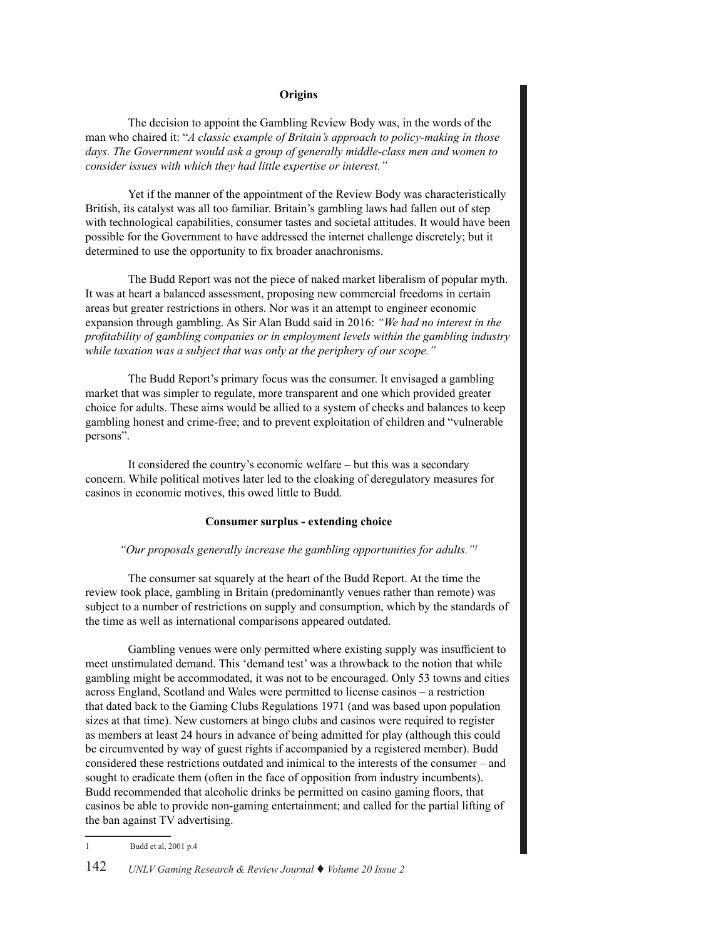## **Origins**

The decision to appoint the Gambling Review Body was, in the words of the man who chaired it: "*A classic example of Britain's approach to policy-making in those days. The Government would ask a group of generally middle-class men and women to consider issues with which they had little expertise or interest."*

Yet if the manner of the appointment of the Review Body was characteristically British, its catalyst was all too familiar. Britain's gambling laws had fallen out of step with technological capabilities, consumer tastes and societal attitudes. It would have been possible for the Government to have addressed the internet challenge discretely; but it determined to use the opportunity to fix broader anachronisms.

The Budd Report was not the piece of naked market liberalism of popular myth. It was at heart a balanced assessment, proposing new commercial freedoms in certain areas but greater restrictions in others. Nor was it an attempt to engineer economic expansion through gambling. As Sir Alan Budd said in 2016: *"We had no interest in the profitability of gambling companies or in employment levels within the gambling industry while taxation was a subject that was only at the periphery of our scope."*

The Budd Report's primary focus was the consumer. It envisaged a gambling market that was simpler to regulate, more transparent and one which provided greater choice for adults. These aims would be allied to a system of checks and balances to keep gambling honest and crime-free; and to prevent exploitation of children and "vulnerable persons".

It considered the country's economic welfare – but this was a secondary concern. While political motives later led to the cloaking of deregulatory measures for casinos in economic motives, this owed little to Budd.

## **Consumer surplus - extending choice**

#### *"Our proposals generally increase the gambling opportunities for adults."<sup>1</sup>*

The consumer sat squarely at the heart of the Budd Report. At the time the review took place, gambling in Britain (predominantly venues rather than remote) was subject to a number of restrictions on supply and consumption, which by the standards of the time as well as international comparisons appeared outdated.

Gambling venues were only permitted where existing supply was insufficient to meet unstimulated demand. This 'demand test' was a throwback to the notion that while gambling might be accommodated, it was not to be encouraged. Only 53 towns and cities across England, Scotland and Wales were permitted to license casinos – a restriction that dated back to the Gaming Clubs Regulations 1971 (and was based upon population sizes at that time). New customers at bingo clubs and casinos were required to register as members at least 24 hours in advance of being admitted for play (although this could be circumvented by way of guest rights if accompanied by a registered member). Budd considered these restrictions outdated and inimical to the interests of the consumer – and sought to eradicate them (often in the face of opposition from industry incumbents). Budd recommended that alcoholic drinks be permitted on casino gaming floors, that casinos be able to provide non-gaming entertainment; and called for the partial lifting of the ban against TV advertising.

<sup>1</sup> Budd et al, 2001 p.4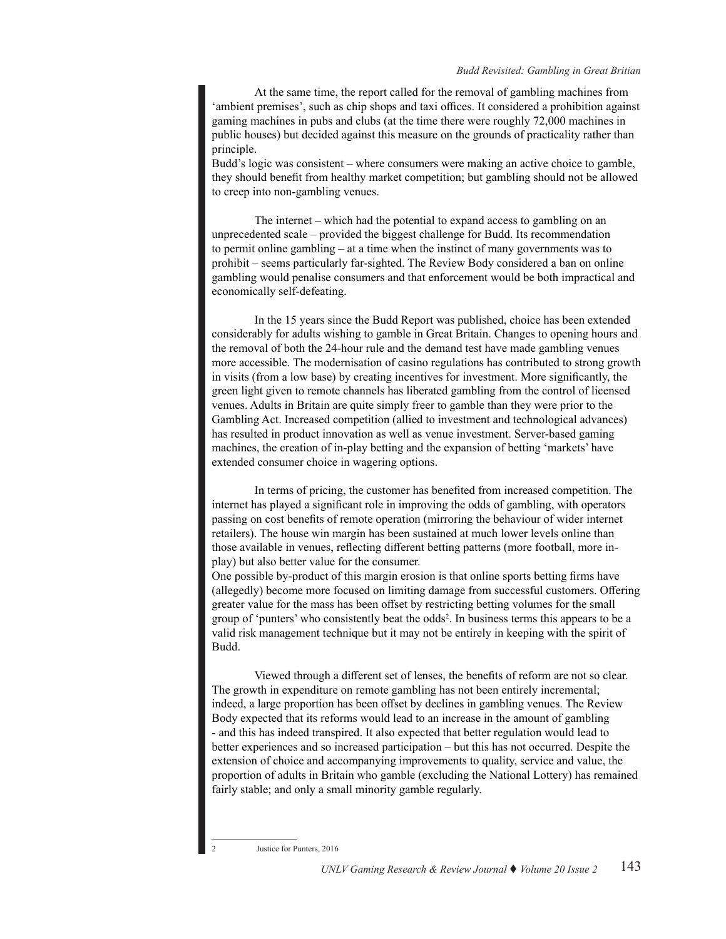At the same time, the report called for the removal of gambling machines from 'ambient premises', such as chip shops and taxi offices. It considered a prohibition against gaming machines in pubs and clubs (at the time there were roughly 72,000 machines in public houses) but decided against this measure on the grounds of practicality rather than principle.

Budd's logic was consistent – where consumers were making an active choice to gamble, they should benefit from healthy market competition; but gambling should not be allowed to creep into non-gambling venues.

The internet – which had the potential to expand access to gambling on an unprecedented scale – provided the biggest challenge for Budd. Its recommendation to permit online gambling – at a time when the instinct of many governments was to prohibit – seems particularly far-sighted. The Review Body considered a ban on online gambling would penalise consumers and that enforcement would be both impractical and economically self-defeating.

In the 15 years since the Budd Report was published, choice has been extended considerably for adults wishing to gamble in Great Britain. Changes to opening hours and the removal of both the 24-hour rule and the demand test have made gambling venues more accessible. The modernisation of casino regulations has contributed to strong growth in visits (from a low base) by creating incentives for investment. More significantly, the green light given to remote channels has liberated gambling from the control of licensed venues. Adults in Britain are quite simply freer to gamble than they were prior to the Gambling Act. Increased competition (allied to investment and technological advances) has resulted in product innovation as well as venue investment. Server-based gaming machines, the creation of in-play betting and the expansion of betting 'markets' have extended consumer choice in wagering options.

In terms of pricing, the customer has benefited from increased competition. The internet has played a significant role in improving the odds of gambling, with operators passing on cost benefits of remote operation (mirroring the behaviour of wider internet retailers). The house win margin has been sustained at much lower levels online than those available in venues, reflecting different betting patterns (more football, more inplay) but also better value for the consumer.

One possible by-product of this margin erosion is that online sports betting firms have (allegedly) become more focused on limiting damage from successful customers. Offering greater value for the mass has been offset by restricting betting volumes for the small group of 'punters' who consistently beat the odds<sup>2</sup>. In business terms this appears to be a valid risk management technique but it may not be entirely in keeping with the spirit of Budd.

Viewed through a different set of lenses, the benefits of reform are not so clear. The growth in expenditure on remote gambling has not been entirely incremental; indeed, a large proportion has been offset by declines in gambling venues. The Review Body expected that its reforms would lead to an increase in the amount of gambling - and this has indeed transpired. It also expected that better regulation would lead to better experiences and so increased participation – but this has not occurred. Despite the extension of choice and accompanying improvements to quality, service and value, the proportion of adults in Britain who gamble (excluding the National Lottery) has remained fairly stable; and only a small minority gamble regularly.

Justice for Punters, 2016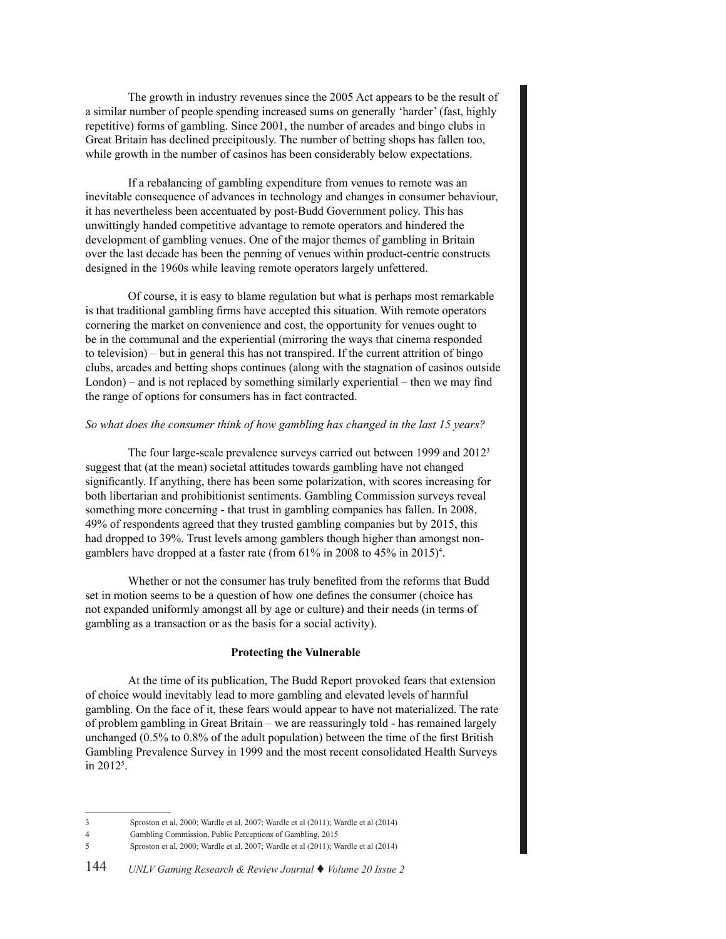The growth in industry revenues since the 2005 Act appears to be the result of a similar number of people spending increased sums on generally 'harder' (fast, highly repetitive) forms of gambling. Since 2001, the number of arcades and bingo clubs in Great Britain has declined precipitously. The number of betting shops has fallen too, while growth in the number of casinos has been considerably below expectations.

If a rebalancing of gambling expenditure from venues to remote was an inevitable consequence of advances in technology and changes in consumer behaviour, it has nevertheless been accentuated by post-Budd Government policy. This has unwittingly handed competitive advantage to remote operators and hindered the development of gambling venues. One of the major themes of gambling in Britain over the last decade has been the penning of venues within product-centric constructs designed in the 1960s while leaving remote operators largely unfettered.

Of course, it is easy to blame regulation but what is perhaps most remarkable is that traditional gambling firms have accepted this situation. With remote operators cornering the market on convenience and cost, the opportunity for venues ought to be in the communal and the experiential (mirroring the ways that cinema responded to television) – but in general this has not transpired. If the current attrition of bingo clubs, arcades and betting shops continues (along with the stagnation of casinos outside London) – and is not replaced by something similarly experiential – then we may find the range of options for consumers has in fact contracted.

#### *So what does the consumer think of how gambling has changed in the last 15 years?*

The four large-scale prevalence surveys carried out between 1999 and 20123 suggest that (at the mean) societal attitudes towards gambling have not changed significantly. If anything, there has been some polarization, with scores increasing for both libertarian and prohibitionist sentiments. Gambling Commission surveys reveal something more concerning - that trust in gambling companies has fallen. In 2008, 49% of respondents agreed that they trusted gambling companies but by 2015, this had dropped to 39%. Trust levels among gamblers though higher than amongst nongamblers have dropped at a faster rate (from 61% in 2008 to 45% in 2015)<sup>4</sup>.

Whether or not the consumer has truly benefited from the reforms that Budd set in motion seems to be a question of how one defines the consumer (choice has not expanded uniformly amongst all by age or culture) and their needs (in terms of gambling as a transaction or as the basis for a social activity).

## **Protecting the Vulnerable**

At the time of its publication, The Budd Report provoked fears that extension of choice would inevitably lead to more gambling and elevated levels of harmful gambling. On the face of it, these fears would appear to have not materialized. The rate of problem gambling in Great Britain – we are reassuringly told - has remained largely unchanged (0.5% to 0.8% of the adult population) between the time of the first British Gambling Prevalence Survey in 1999 and the most recent consolidated Health Surveys in 20125 .

<sup>3</sup> Sproston et al, 2000; Wardle et al, 2007; Wardle et al (2011); Wardle et al (2014)

<sup>4</sup> Gambling Commission, Public Perceptions of Gambling, 2015

<sup>5</sup> Sproston et al, 2000; Wardle et al, 2007; Wardle et al (2011); Wardle et al (2014)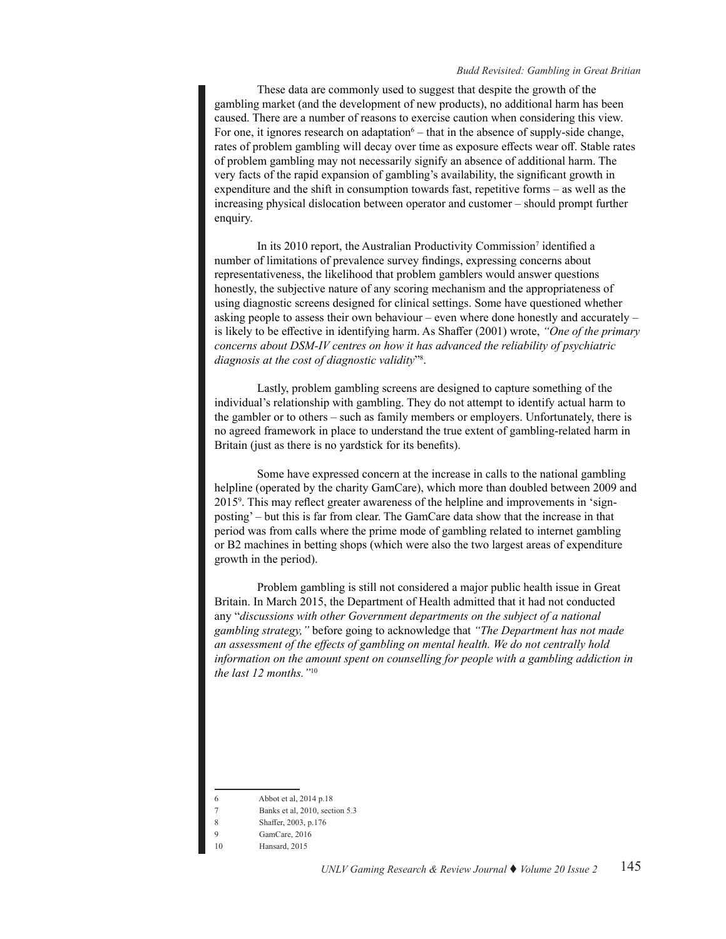#### *Budd Revisited: Gambling in Great Britian*

These data are commonly used to suggest that despite the growth of the gambling market (and the development of new products), no additional harm has been caused. There are a number of reasons to exercise caution when considering this view. For one, it ignores research on adaptation $6 -$  that in the absence of supply-side change, rates of problem gambling will decay over time as exposure effects wear off. Stable rates of problem gambling may not necessarily signify an absence of additional harm. The very facts of the rapid expansion of gambling's availability, the significant growth in expenditure and the shift in consumption towards fast, repetitive forms – as well as the increasing physical dislocation between operator and customer – should prompt further enquiry.

In its 2010 report, the Australian Productivity Commission<sup>7</sup> identified a number of limitations of prevalence survey findings, expressing concerns about representativeness, the likelihood that problem gamblers would answer questions honestly, the subjective nature of any scoring mechanism and the appropriateness of using diagnostic screens designed for clinical settings. Some have questioned whether asking people to assess their own behaviour – even where done honestly and accurately – is likely to be effective in identifying harm. As Shaffer (2001) wrote, *"One of the primary concerns about DSM-IV centres on how it has advanced the reliability of psychiatric diagnosis at the cost of diagnostic validity*"8 .

Lastly, problem gambling screens are designed to capture something of the individual's relationship with gambling. They do not attempt to identify actual harm to the gambler or to others – such as family members or employers. Unfortunately, there is no agreed framework in place to understand the true extent of gambling-related harm in Britain (just as there is no yardstick for its benefits).

Some have expressed concern at the increase in calls to the national gambling helpline (operated by the charity GamCare), which more than doubled between 2009 and 20159 . This may reflect greater awareness of the helpline and improvements in 'signposting' – but this is far from clear. The GamCare data show that the increase in that period was from calls where the prime mode of gambling related to internet gambling or B2 machines in betting shops (which were also the two largest areas of expenditure growth in the period).

Problem gambling is still not considered a major public health issue in Great Britain. In March 2015, the Department of Health admitted that it had not conducted any "*discussions with other Government departments on the subject of a national gambling strategy,"* before going to acknowledge that *"The Department has not made an assessment of the effects of gambling on mental health. We do not centrally hold information on the amount spent on counselling for people with a gambling addiction in the last 12 months."*<sup>10</sup>

<sup>6</sup> Abbot et al, 2014 p.18

<sup>7</sup> Banks et al, 2010, section 5.3

<sup>8</sup> Shaffer, 2003, p.176

GamCare, 2016

Hansard, 2015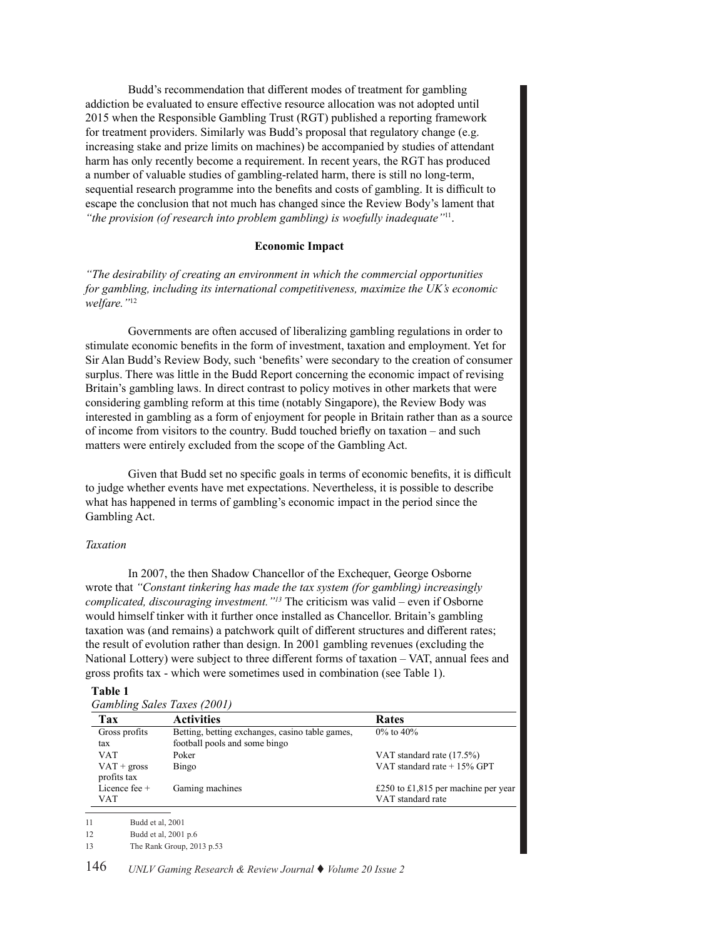Budd's recommendation that different modes of treatment for gambling addiction be evaluated to ensure effective resource allocation was not adopted until 2015 when the Responsible Gambling Trust (RGT) published a reporting framework for treatment providers. Similarly was Budd's proposal that regulatory change (e.g. increasing stake and prize limits on machines) be accompanied by studies of attendant harm has only recently become a requirement. In recent years, the RGT has produced a number of valuable studies of gambling-related harm, there is still no long-term, sequential research programme into the benefits and costs of gambling. It is difficult to escape the conclusion that not much has changed since the Review Body's lament that *"the provision (of research into problem gambling) is woefully inadequate"*11.

#### **Economic Impact**

*"The desirability of creating an environment in which the commercial opportunities for gambling, including its international competitiveness, maximize the UK's economic welfare."*<sup>12</sup>

Governments are often accused of liberalizing gambling regulations in order to stimulate economic benefits in the form of investment, taxation and employment. Yet for Sir Alan Budd's Review Body, such 'benefits' were secondary to the creation of consumer surplus. There was little in the Budd Report concerning the economic impact of revising Britain's gambling laws. In direct contrast to policy motives in other markets that were considering gambling reform at this time (notably Singapore), the Review Body was interested in gambling as a form of enjoyment for people in Britain rather than as a source of income from visitors to the country. Budd touched briefly on taxation – and such matters were entirely excluded from the scope of the Gambling Act.

Given that Budd set no specific goals in terms of economic benefits, it is difficult to judge whether events have met expectations. Nevertheless, it is possible to describe what has happened in terms of gambling's economic impact in the period since the Gambling Act.

## *Taxation*

In 2007, the then Shadow Chancellor of the Exchequer, George Osborne wrote that *"Constant tinkering has made the tax system (for gambling) increasingly complicated, discouraging investment."<sup>13</sup>* The criticism was valid – even if Osborne would himself tinker with it further once installed as Chancellor. Britain's gambling taxation was (and remains) a patchwork quilt of different structures and different rates; the result of evolution rather than design. In 2001 gambling revenues (excluding the National Lottery) were subject to three different forms of taxation – VAT, annual fees and gross profits tax - which were sometimes used in combination (see Table 1).

## **Table 1**

| Gambling Sales Taxes (2001)  |                                                 |                                     |  |  |
|------------------------------|-------------------------------------------------|-------------------------------------|--|--|
| Tax                          | <b>Activities</b>                               | <b>Rates</b>                        |  |  |
| Gross profits                | Betting, betting exchanges, casino table games, | $0\%$ to $40\%$                     |  |  |
| tax                          | football pools and some bingo                   |                                     |  |  |
| <b>VAT</b>                   | Poker                                           | VAT standard rate (17.5%)           |  |  |
| $VAT +$ gross<br>profits tax | Bingo                                           | VAT standard rate $+15%$ GPT        |  |  |
| Licence fee $+$              | Gaming machines                                 | £250 to £1,815 per machine per year |  |  |
| VAT                          |                                                 | VAT standard rate                   |  |  |
|                              |                                                 |                                     |  |  |

11 Budd et al, 2001

12 Budd et al, 2001 p.6

13 The Rank Group, 2013 p.53

146 *UNLV Gaming Research & Review Journal* t *Volume 20 Issue 2*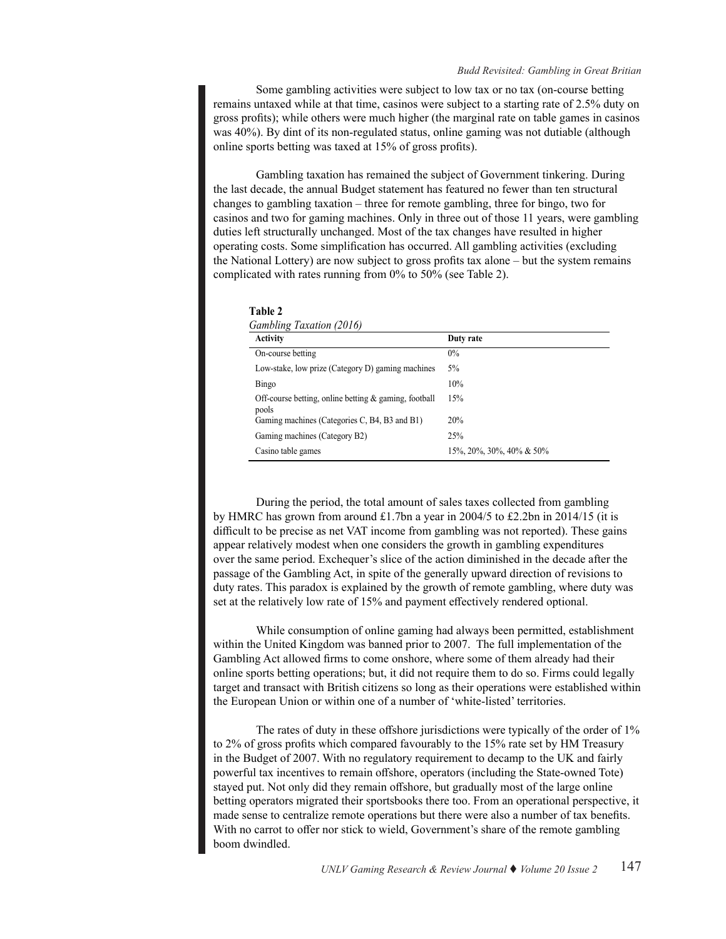Some gambling activities were subject to low tax or no tax (on-course betting remains untaxed while at that time, casinos were subject to a starting rate of 2.5% duty on gross profits); while others were much higher (the marginal rate on table games in casinos was 40%). By dint of its non-regulated status, online gaming was not dutiable (although online sports betting was taxed at 15% of gross profits).

Gambling taxation has remained the subject of Government tinkering. During the last decade, the annual Budget statement has featured no fewer than ten structural changes to gambling taxation – three for remote gambling, three for bingo, two for casinos and two for gaming machines. Only in three out of those 11 years, were gambling duties left structurally unchanged. Most of the tax changes have resulted in higher operating costs. Some simplification has occurred. All gambling activities (excluding the National Lottery) are now subject to gross profits tax alone – but the system remains complicated with rates running from 0% to 50% (see Table 2).

| <b>Table 2</b>    |  |
|-------------------|--|
| $C = L1$ $T = L1$ |  |

| <b>Activity</b>                                                   | Duty rate                |  |
|-------------------------------------------------------------------|--------------------------|--|
| On-course betting                                                 | $0\%$                    |  |
| Low-stake, low prize (Category D) gaming machines                 | $5\%$                    |  |
| Bingo                                                             | 10%                      |  |
| Off-course betting, online betting $\&$ gaming, football<br>pools | 15%                      |  |
| Gaming machines (Categories C, B4, B3 and B1)                     | 20%                      |  |
| Gaming machines (Category B2)                                     | 25%                      |  |
| Casino table games                                                | 15%, 20%, 30%, 40% & 50% |  |

During the period, the total amount of sales taxes collected from gambling by HMRC has grown from around £1.7bn a year in 2004/5 to £2.2bn in 2014/15 (it is difficult to be precise as net VAT income from gambling was not reported). These gains appear relatively modest when one considers the growth in gambling expenditures over the same period. Exchequer's slice of the action diminished in the decade after the passage of the Gambling Act, in spite of the generally upward direction of revisions to duty rates. This paradox is explained by the growth of remote gambling, where duty was set at the relatively low rate of 15% and payment effectively rendered optional.

While consumption of online gaming had always been permitted, establishment within the United Kingdom was banned prior to 2007. The full implementation of the Gambling Act allowed firms to come onshore, where some of them already had their online sports betting operations; but, it did not require them to do so. Firms could legally target and transact with British citizens so long as their operations were established within the European Union or within one of a number of 'white-listed' territories.

The rates of duty in these offshore jurisdictions were typically of the order of 1% to 2% of gross profits which compared favourably to the 15% rate set by HM Treasury in the Budget of 2007. With no regulatory requirement to decamp to the UK and fairly powerful tax incentives to remain offshore, operators (including the State-owned Tote) stayed put. Not only did they remain offshore, but gradually most of the large online betting operators migrated their sportsbooks there too. From an operational perspective, it made sense to centralize remote operations but there were also a number of tax benefits. With no carrot to offer nor stick to wield, Government's share of the remote gambling boom dwindled.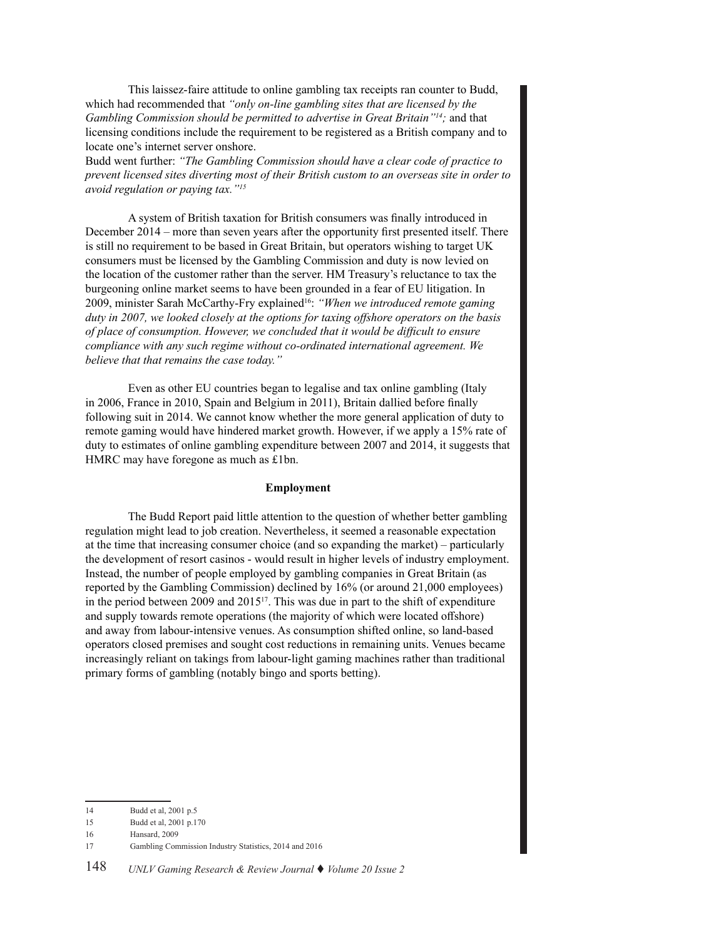This laissez-faire attitude to online gambling tax receipts ran counter to Budd, which had recommended that *"only on-line gambling sites that are licensed by the Gambling Commission should be permitted to advertise in Great Britain"14;* and that licensing conditions include the requirement to be registered as a British company and to locate one's internet server onshore.

Budd went further: *"The Gambling Commission should have a clear code of practice to prevent licensed sites diverting most of their British custom to an overseas site in order to avoid regulation or paying tax."<sup>15</sup>*

A system of British taxation for British consumers was finally introduced in December 2014 – more than seven years after the opportunity first presented itself. There is still no requirement to be based in Great Britain, but operators wishing to target UK consumers must be licensed by the Gambling Commission and duty is now levied on the location of the customer rather than the server. HM Treasury's reluctance to tax the burgeoning online market seems to have been grounded in a fear of EU litigation. In 2009, minister Sarah McCarthy-Fry explained16: *"When we introduced remote gaming duty in 2007, we looked closely at the options for taxing offshore operators on the basis of place of consumption. However, we concluded that it would be difficult to ensure compliance with any such regime without co-ordinated international agreement. We believe that that remains the case today."*

Even as other EU countries began to legalise and tax online gambling (Italy in 2006, France in 2010, Spain and Belgium in 2011), Britain dallied before finally following suit in 2014. We cannot know whether the more general application of duty to remote gaming would have hindered market growth. However, if we apply a 15% rate of duty to estimates of online gambling expenditure between 2007 and 2014, it suggests that HMRC may have foregone as much as £1bn.

## **Employment**

The Budd Report paid little attention to the question of whether better gambling regulation might lead to job creation. Nevertheless, it seemed a reasonable expectation at the time that increasing consumer choice (and so expanding the market) – particularly the development of resort casinos - would result in higher levels of industry employment. Instead, the number of people employed by gambling companies in Great Britain (as reported by the Gambling Commission) declined by 16% (or around 21,000 employees) in the period between 2009 and 2015<sup>17</sup>. This was due in part to the shift of expenditure and supply towards remote operations (the majority of which were located offshore) and away from labour-intensive venues. As consumption shifted online, so land-based operators closed premises and sought cost reductions in remaining units. Venues became increasingly reliant on takings from labour-light gaming machines rather than traditional primary forms of gambling (notably bingo and sports betting).

<sup>14</sup> Budd et al, 2001 p.5

<sup>15</sup> Budd et al, 2001 p.170

<sup>16</sup> Hansard, 2009

<sup>17</sup> Gambling Commission Industry Statistics, 2014 and 2016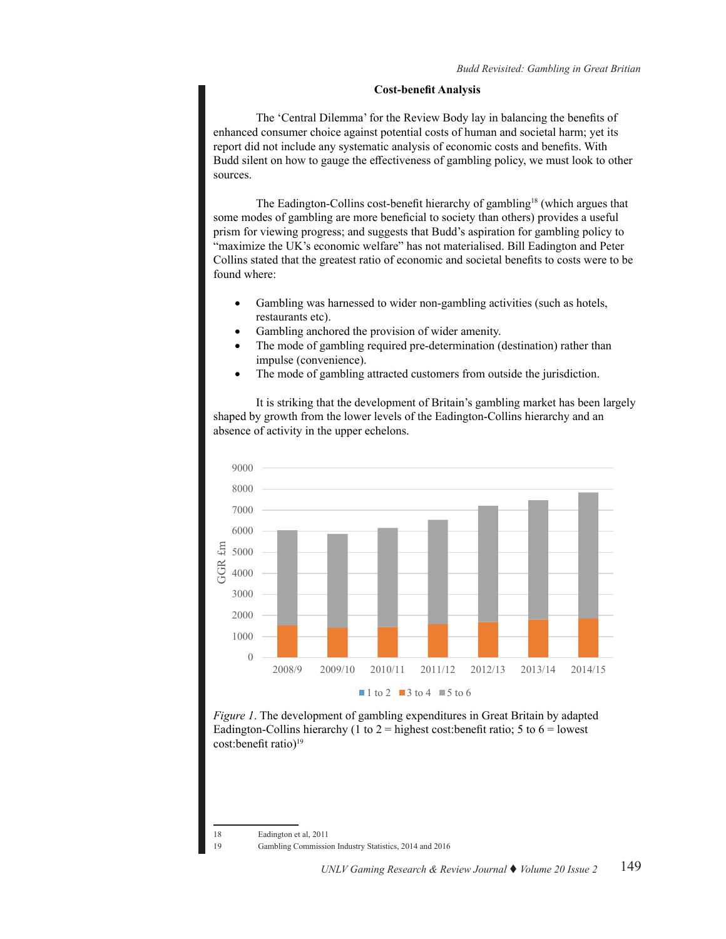#### **Cost-benefit Analysis**

The 'Central Dilemma' for the Review Body lay in balancing the benefits of enhanced consumer choice against potential costs of human and societal harm; yet its report did not include any systematic analysis of economic costs and benefits. With Budd silent on how to gauge the effectiveness of gambling policy, we must look to other sources.

The Eadington-Collins cost-benefit hierarchy of gambling18 (which argues that some modes of gambling are more beneficial to society than others) provides a useful prism for viewing progress; and suggests that Budd's aspiration for gambling policy to "maximize the UK's economic welfare" has not materialised. Bill Eadington and Peter Collins stated that the greatest ratio of economic and societal benefits to costs were to be found where:

- Gambling was harnessed to wider non-gambling activities (such as hotels, restaurants etc).
- Gambling anchored the provision of wider amenity.
- The mode of gambling required pre-determination (destination) rather than impulse (convenience).
- The mode of gambling attracted customers from outside the jurisdiction.

It is striking that the development of Britain's gambling market has been largely shaped by growth from the lower levels of the Eadington-Collins hierarchy and an absence of activity in the upper echelons.





18 Eadington et al, 2011

19 Gambling Commission Industry Statistics, 2014 and 2016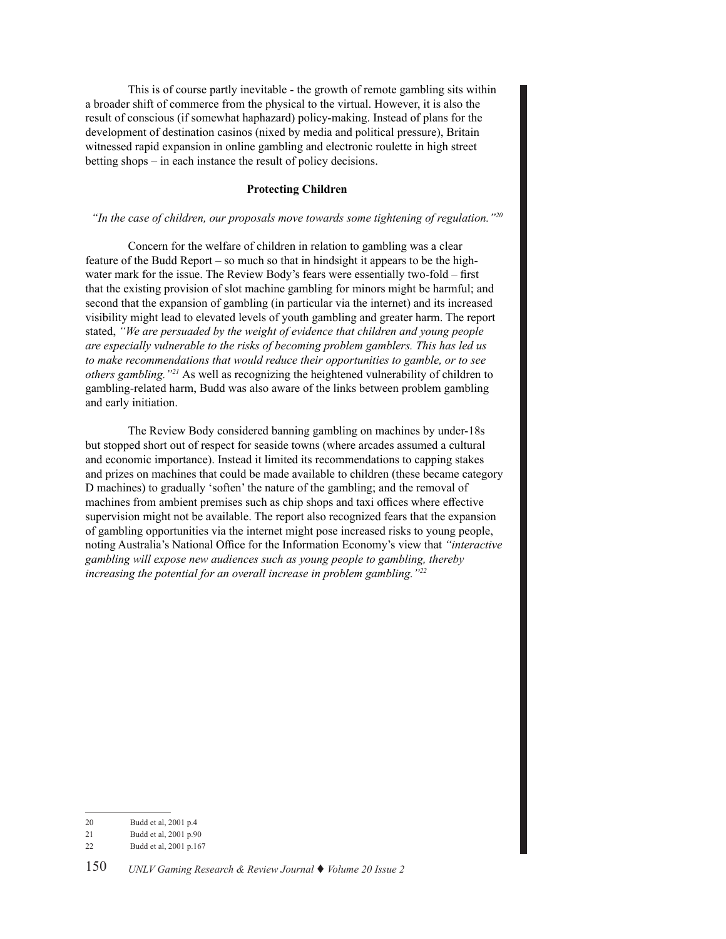This is of course partly inevitable - the growth of remote gambling sits within a broader shift of commerce from the physical to the virtual. However, it is also the result of conscious (if somewhat haphazard) policy-making. Instead of plans for the development of destination casinos (nixed by media and political pressure), Britain witnessed rapid expansion in online gambling and electronic roulette in high street betting shops – in each instance the result of policy decisions.

# **Protecting Children**

# *"In the case of children, our proposals move towards some tightening of regulation."<sup>20</sup>*

Concern for the welfare of children in relation to gambling was a clear feature of the Budd Report – so much so that in hindsight it appears to be the highwater mark for the issue. The Review Body's fears were essentially two-fold – first that the existing provision of slot machine gambling for minors might be harmful; and second that the expansion of gambling (in particular via the internet) and its increased visibility might lead to elevated levels of youth gambling and greater harm. The report stated, *"We are persuaded by the weight of evidence that children and young people are especially vulnerable to the risks of becoming problem gamblers. This has led us to make recommendations that would reduce their opportunities to gamble, or to see others gambling."<sup>21</sup>* As well as recognizing the heightened vulnerability of children to gambling-related harm, Budd was also aware of the links between problem gambling and early initiation.

The Review Body considered banning gambling on machines by under-18s but stopped short out of respect for seaside towns (where arcades assumed a cultural and economic importance). Instead it limited its recommendations to capping stakes and prizes on machines that could be made available to children (these became category D machines) to gradually 'soften' the nature of the gambling; and the removal of machines from ambient premises such as chip shops and taxi offices where effective supervision might not be available. The report also recognized fears that the expansion of gambling opportunities via the internet might pose increased risks to young people, noting Australia's National Office for the Information Economy's view that *"interactive gambling will expose new audiences such as young people to gambling, thereby increasing the potential for an overall increase in problem gambling."<sup>22</sup>*

<sup>20</sup> Budd et al, 2001 p.4

<sup>21</sup> Budd et al, 2001 p.90

<sup>22</sup> Budd et al, 2001 p.167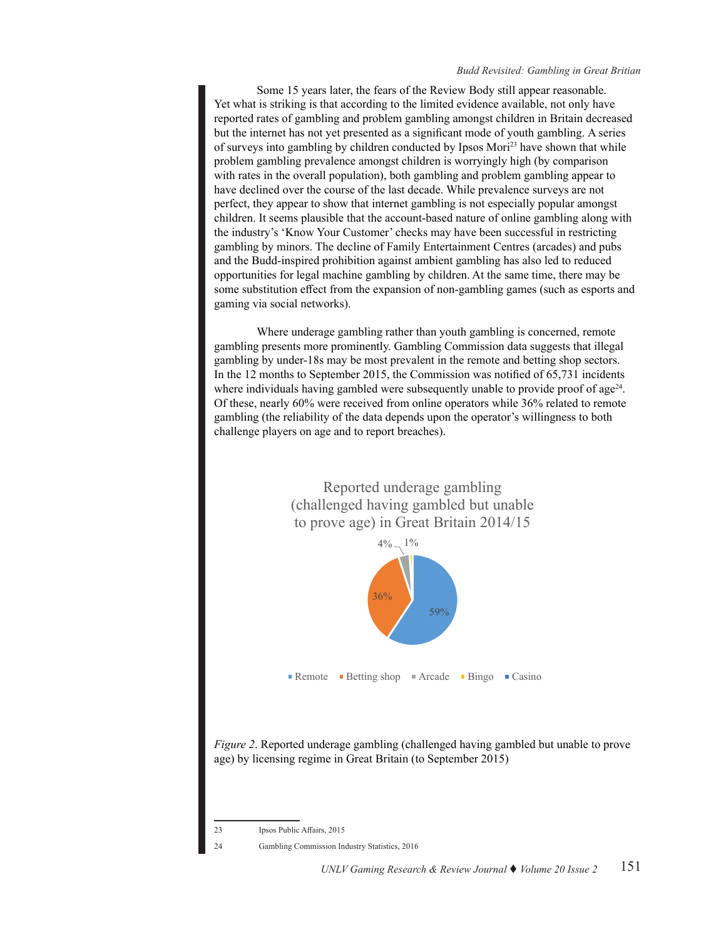Some 15 years later, the fears of the Review Body still appear reasonable. Yet what is striking is that according to the limited evidence available, not only have reported rates of gambling and problem gambling amongst children in Britain decreased but the internet has not yet presented as a significant mode of youth gambling. A series of surveys into gambling by children conducted by Ipsos Mori23 have shown that while problem gambling prevalence amongst children is worryingly high (by comparison with rates in the overall population), both gambling and problem gambling appear to have declined over the course of the last decade. While prevalence surveys are not perfect, they appear to show that internet gambling is not especially popular amongst children. It seems plausible that the account-based nature of online gambling along with the industry's 'Know Your Customer' checks may have been successful in restricting gambling by minors. The decline of Family Entertainment Centres (arcades) and pubs and the Budd-inspired prohibition against ambient gambling has also led to reduced opportunities for legal machine gambling by children. At the same time, there may be some substitution effect from the expansion of non-gambling games (such as esports and gaming via social networks).

Where underage gambling rather than youth gambling is concerned, remote gambling presents more prominently. Gambling Commission data suggests that illegal gambling by under-18s may be most prevalent in the remote and betting shop sectors. In the 12 months to September 2015, the Commission was notified of 65,731 incidents where individuals having gambled were subsequently unable to provide proof of age $24$ . Of these, nearly 60% were received from online operators while 36% related to remote gambling (the reliability of the data depends upon the operator's willingness to both challenge players on age and to report breaches).



*Figure 2*. Reported underage gambling (challenged having gambled but unable to prove age) by licensing regime in Great Britain (to September 2015)

23 Ipsos Public Affairs, 2015

24 Gambling Commission Industry Statistics, 2016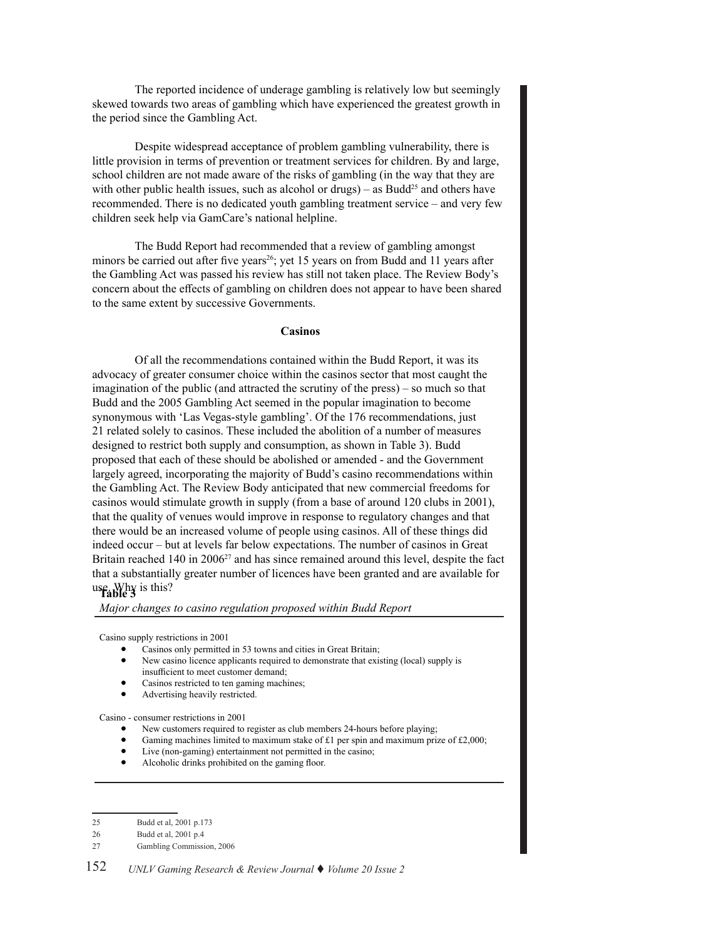The reported incidence of underage gambling is relatively low but seemingly skewed towards two areas of gambling which have experienced the greatest growth in the period since the Gambling Act.

Despite widespread acceptance of problem gambling vulnerability, there is little provision in terms of prevention or treatment services for children. By and large, school children are not made aware of the risks of gambling (in the way that they are with other public health issues, such as alcohol or drugs) – as  $Budd<sup>25</sup>$  and others have recommended. There is no dedicated youth gambling treatment service – and very few children seek help via GamCare's national helpline.

The Budd Report had recommended that a review of gambling amongst minors be carried out after five years<sup>26</sup>; yet 15 years on from Budd and 11 years after the Gambling Act was passed his review has still not taken place. The Review Body's concern about the effects of gambling on children does not appear to have been shared to the same extent by successive Governments.

#### **Casinos**

Of all the recommendations contained within the Budd Report, it was its advocacy of greater consumer choice within the casinos sector that most caught the imagination of the public (and attracted the scrutiny of the press) – so much so that Budd and the 2005 Gambling Act seemed in the popular imagination to become synonymous with 'Las Vegas-style gambling'. Of the 176 recommendations, just 21 related solely to casinos. These included the abolition of a number of measures designed to restrict both supply and consumption, as shown in Table 3). Budd proposed that each of these should be abolished or amended - and the Government largely agreed, incorporating the majority of Budd's casino recommendations within the Gambling Act. The Review Body anticipated that new commercial freedoms for casinos would stimulate growth in supply (from a base of around 120 clubs in 2001), that the quality of venues would improve in response to regulatory changes and that there would be an increased volume of people using casinos. All of these things did indeed occur – but at levels far below expectations. The number of casinos in Great Britain reached 140 in 2006<sup>27</sup> and has since remained around this level, despite the fact that a substantially greater number of licences have been granted and are available for use. Why is this? **Table 3**

*Major changes to casino regulation proposed within Budd Report*

Casino supply restrictions in 2001

- Casinos only permitted in 53 towns and cities in Great Britain;
- New casino licence applicants required to demonstrate that existing (local) supply is insufficient to meet customer demand;
- Casinos restricted to ten gaming machines;
- Advertising heavily restricted.

Casino - consumer restrictions in 2001

- New customers required to register as club members 24-hours before playing;
- Gaming machines limited to maximum stake of £1 per spin and maximum prize of £2,000;
- Live (non-gaming) entertainment not permitted in the casino;
- Alcoholic drinks prohibited on the gaming floor.

<sup>25</sup> Budd et al, 2001 p.173

<sup>26</sup> Budd et al, 2001 p.4

<sup>27</sup> Gambling Commission, 2006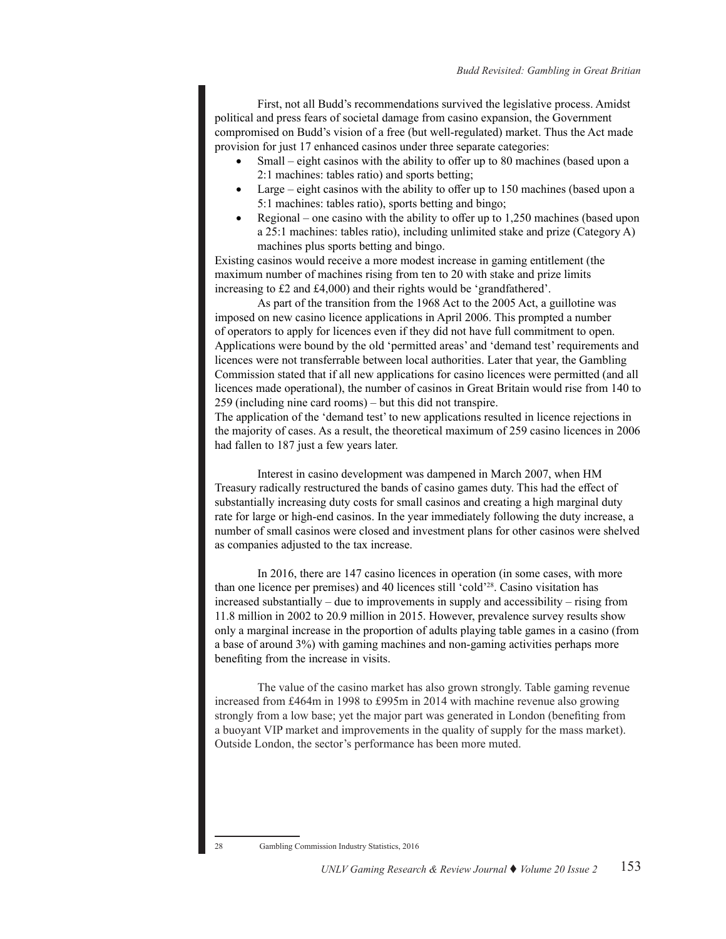First, not all Budd's recommendations survived the legislative process. Amidst political and press fears of societal damage from casino expansion, the Government compromised on Budd's vision of a free (but well-regulated) market. Thus the Act made provision for just 17 enhanced casinos under three separate categories:

- Small eight casinos with the ability to offer up to 80 machines (based upon a 2:1 machines: tables ratio) and sports betting;
- Large eight casinos with the ability to offer up to  $150$  machines (based upon a 5:1 machines: tables ratio), sports betting and bingo;
- Regional one casino with the ability to offer up to  $1,250$  machines (based upon a 25:1 machines: tables ratio), including unlimited stake and prize (Category A) machines plus sports betting and bingo.

Existing casinos would receive a more modest increase in gaming entitlement (the maximum number of machines rising from ten to 20 with stake and prize limits increasing to £2 and £4,000) and their rights would be 'grandfathered'.

As part of the transition from the 1968 Act to the 2005 Act, a guillotine was imposed on new casino licence applications in April 2006. This prompted a number of operators to apply for licences even if they did not have full commitment to open. Applications were bound by the old 'permitted areas' and 'demand test' requirements and licences were not transferrable between local authorities. Later that year, the Gambling Commission stated that if all new applications for casino licences were permitted (and all licences made operational), the number of casinos in Great Britain would rise from 140 to 259 (including nine card rooms) – but this did not transpire.

The application of the 'demand test' to new applications resulted in licence rejections in the majority of cases. As a result, the theoretical maximum of 259 casino licences in 2006 had fallen to 187 just a few years later.

Interest in casino development was dampened in March 2007, when HM Treasury radically restructured the bands of casino games duty. This had the effect of substantially increasing duty costs for small casinos and creating a high marginal duty rate for large or high-end casinos. In the year immediately following the duty increase, a number of small casinos were closed and investment plans for other casinos were shelved as companies adjusted to the tax increase.

In 2016, there are 147 casino licences in operation (in some cases, with more than one licence per premises) and 40 licences still 'cold'28. Casino visitation has increased substantially – due to improvements in supply and accessibility – rising from 11.8 million in 2002 to 20.9 million in 2015. However, prevalence survey results show only a marginal increase in the proportion of adults playing table games in a casino (from a base of around 3%) with gaming machines and non-gaming activities perhaps more benefiting from the increase in visits.

The value of the casino market has also grown strongly. Table gaming revenue increased from £464m in 1998 to £995m in 2014 with machine revenue also growing strongly from a low base; yet the major part was generated in London (benefiting from a buoyant VIP market and improvements in the quality of supply for the mass market). Outside London, the sector's performance has been more muted.

<sup>28</sup> Gambling Commission Industry Statistics, 2016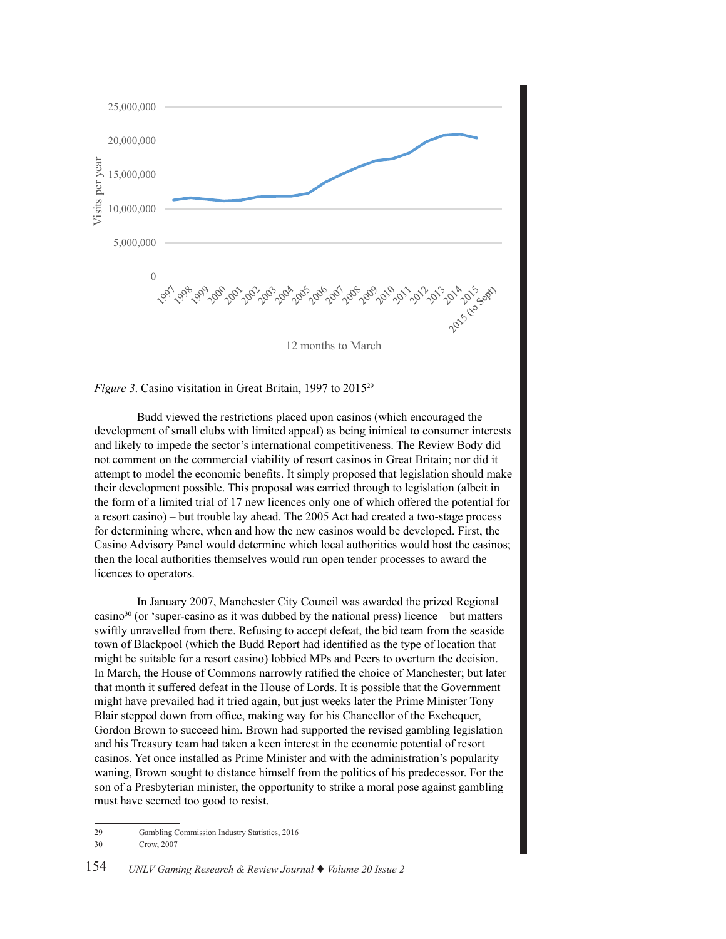



Budd viewed the restrictions placed upon casinos (which encouraged the development of small clubs with limited appeal) as being inimical to consumer interests and likely to impede the sector's international competitiveness. The Review Body did not comment on the commercial viability of resort casinos in Great Britain; nor did it attempt to model the economic benefits. It simply proposed that legislation should make their development possible. This proposal was carried through to legislation (albeit in the form of a limited trial of 17 new licences only one of which offered the potential for a resort casino) – but trouble lay ahead. The 2005 Act had created a two-stage process for determining where, when and how the new casinos would be developed. First, the Casino Advisory Panel would determine which local authorities would host the casinos; then the local authorities themselves would run open tender processes to award the licences to operators.

In January 2007, Manchester City Council was awarded the prized Regional casino<sup>30</sup> (or 'super-casino as it was dubbed by the national press) licence – but matters swiftly unravelled from there. Refusing to accept defeat, the bid team from the seaside town of Blackpool (which the Budd Report had identified as the type of location that might be suitable for a resort casino) lobbied MPs and Peers to overturn the decision. In March, the House of Commons narrowly ratified the choice of Manchester; but later that month it suffered defeat in the House of Lords. It is possible that the Government might have prevailed had it tried again, but just weeks later the Prime Minister Tony Blair stepped down from office, making way for his Chancellor of the Exchequer, Gordon Brown to succeed him. Brown had supported the revised gambling legislation and his Treasury team had taken a keen interest in the economic potential of resort casinos. Yet once installed as Prime Minister and with the administration's popularity waning, Brown sought to distance himself from the politics of his predecessor. For the son of a Presbyterian minister, the opportunity to strike a moral pose against gambling must have seemed too good to resist.

<sup>29</sup> Gambling Commission Industry Statistics, 2016

<sup>30</sup> Crow, 2007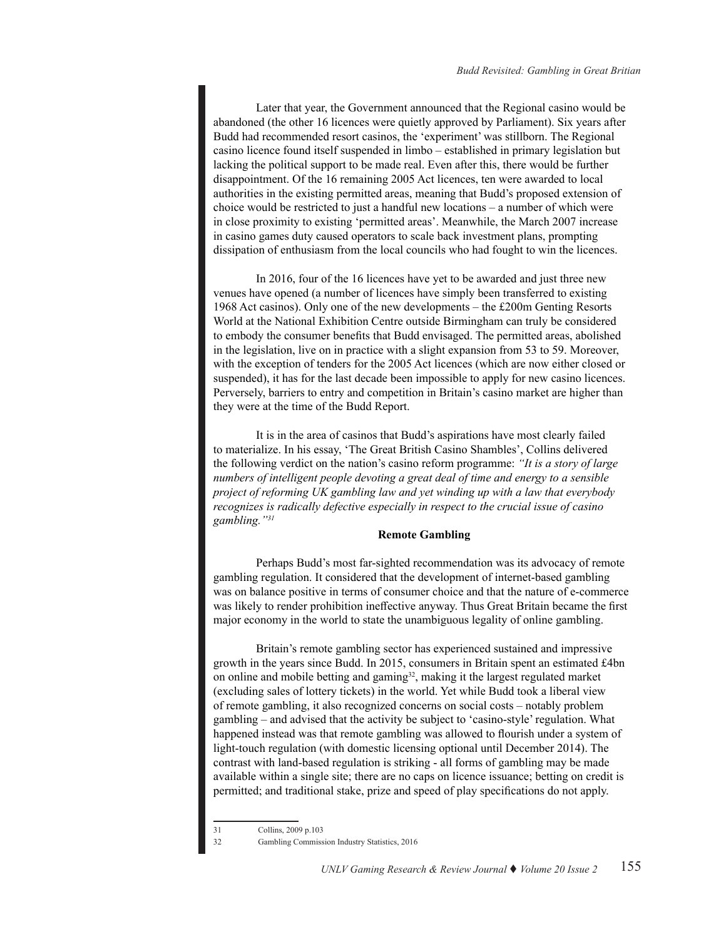Later that year, the Government announced that the Regional casino would be abandoned (the other 16 licences were quietly approved by Parliament). Six years after Budd had recommended resort casinos, the 'experiment' was stillborn. The Regional casino licence found itself suspended in limbo – established in primary legislation but lacking the political support to be made real. Even after this, there would be further disappointment. Of the 16 remaining 2005 Act licences, ten were awarded to local authorities in the existing permitted areas, meaning that Budd's proposed extension of choice would be restricted to just a handful new locations – a number of which were in close proximity to existing 'permitted areas'. Meanwhile, the March 2007 increase in casino games duty caused operators to scale back investment plans, prompting dissipation of enthusiasm from the local councils who had fought to win the licences.

In 2016, four of the 16 licences have yet to be awarded and just three new venues have opened (a number of licences have simply been transferred to existing 1968 Act casinos). Only one of the new developments – the £200m Genting Resorts World at the National Exhibition Centre outside Birmingham can truly be considered to embody the consumer benefits that Budd envisaged. The permitted areas, abolished in the legislation, live on in practice with a slight expansion from 53 to 59. Moreover, with the exception of tenders for the 2005 Act licences (which are now either closed or suspended), it has for the last decade been impossible to apply for new casino licences. Perversely, barriers to entry and competition in Britain's casino market are higher than they were at the time of the Budd Report.

It is in the area of casinos that Budd's aspirations have most clearly failed to materialize. In his essay, 'The Great British Casino Shambles', Collins delivered the following verdict on the nation's casino reform programme: *"It is a story of large numbers of intelligent people devoting a great deal of time and energy to a sensible project of reforming UK gambling law and yet winding up with a law that everybody recognizes is radically defective especially in respect to the crucial issue of casino gambling."<sup>31</sup>*

## **Remote Gambling**

Perhaps Budd's most far-sighted recommendation was its advocacy of remote gambling regulation. It considered that the development of internet-based gambling was on balance positive in terms of consumer choice and that the nature of e-commerce was likely to render prohibition ineffective anyway. Thus Great Britain became the first major economy in the world to state the unambiguous legality of online gambling.

Britain's remote gambling sector has experienced sustained and impressive growth in the years since Budd. In 2015, consumers in Britain spent an estimated £4bn on online and mobile betting and gaming<sup>32</sup>, making it the largest regulated market (excluding sales of lottery tickets) in the world. Yet while Budd took a liberal view of remote gambling, it also recognized concerns on social costs – notably problem gambling – and advised that the activity be subject to 'casino-style' regulation. What happened instead was that remote gambling was allowed to flourish under a system of light-touch regulation (with domestic licensing optional until December 2014). The contrast with land-based regulation is striking - all forms of gambling may be made available within a single site; there are no caps on licence issuance; betting on credit is permitted; and traditional stake, prize and speed of play specifications do not apply.

<sup>31</sup> Collins, 2009 p.103

<sup>32</sup> Gambling Commission Industry Statistics, 2016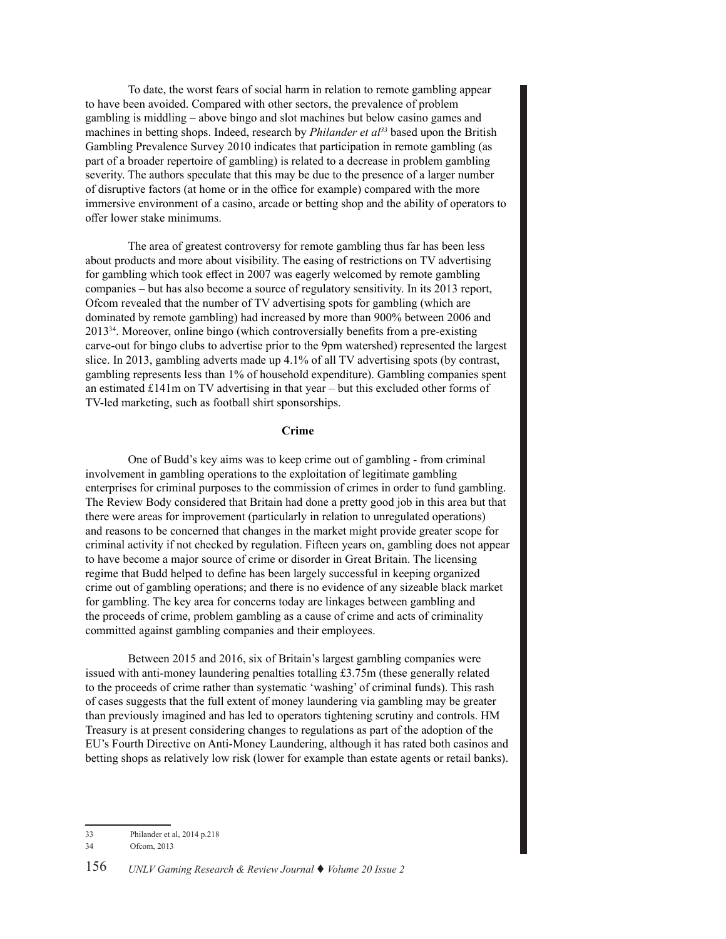To date, the worst fears of social harm in relation to remote gambling appear to have been avoided. Compared with other sectors, the prevalence of problem gambling is middling – above bingo and slot machines but below casino games and machines in betting shops. Indeed, research by *Philander et al33* based upon the British Gambling Prevalence Survey 2010 indicates that participation in remote gambling (as part of a broader repertoire of gambling) is related to a decrease in problem gambling severity. The authors speculate that this may be due to the presence of a larger number of disruptive factors (at home or in the office for example) compared with the more immersive environment of a casino, arcade or betting shop and the ability of operators to offer lower stake minimums.

The area of greatest controversy for remote gambling thus far has been less about products and more about visibility. The easing of restrictions on TV advertising for gambling which took effect in 2007 was eagerly welcomed by remote gambling companies – but has also become a source of regulatory sensitivity. In its 2013 report, Ofcom revealed that the number of TV advertising spots for gambling (which are dominated by remote gambling) had increased by more than 900% between 2006 and 201334. Moreover, online bingo (which controversially benefits from a pre-existing carve-out for bingo clubs to advertise prior to the 9pm watershed) represented the largest slice. In 2013, gambling adverts made up 4.1% of all TV advertising spots (by contrast, gambling represents less than 1% of household expenditure). Gambling companies spent an estimated £141m on TV advertising in that year – but this excluded other forms of TV-led marketing, such as football shirt sponsorships.

## **Crime**

One of Budd's key aims was to keep crime out of gambling - from criminal involvement in gambling operations to the exploitation of legitimate gambling enterprises for criminal purposes to the commission of crimes in order to fund gambling. The Review Body considered that Britain had done a pretty good job in this area but that there were areas for improvement (particularly in relation to unregulated operations) and reasons to be concerned that changes in the market might provide greater scope for criminal activity if not checked by regulation. Fifteen years on, gambling does not appear to have become a major source of crime or disorder in Great Britain. The licensing regime that Budd helped to define has been largely successful in keeping organized crime out of gambling operations; and there is no evidence of any sizeable black market for gambling. The key area for concerns today are linkages between gambling and the proceeds of crime, problem gambling as a cause of crime and acts of criminality committed against gambling companies and their employees.

Between 2015 and 2016, six of Britain's largest gambling companies were issued with anti-money laundering penalties totalling £3.75m (these generally related to the proceeds of crime rather than systematic 'washing' of criminal funds). This rash of cases suggests that the full extent of money laundering via gambling may be greater than previously imagined and has led to operators tightening scrutiny and controls. HM Treasury is at present considering changes to regulations as part of the adoption of the EU's Fourth Directive on Anti-Money Laundering, although it has rated both casinos and betting shops as relatively low risk (lower for example than estate agents or retail banks).

<sup>33</sup> Philander et al, 2014 p.218

<sup>34</sup> Ofcom, 2013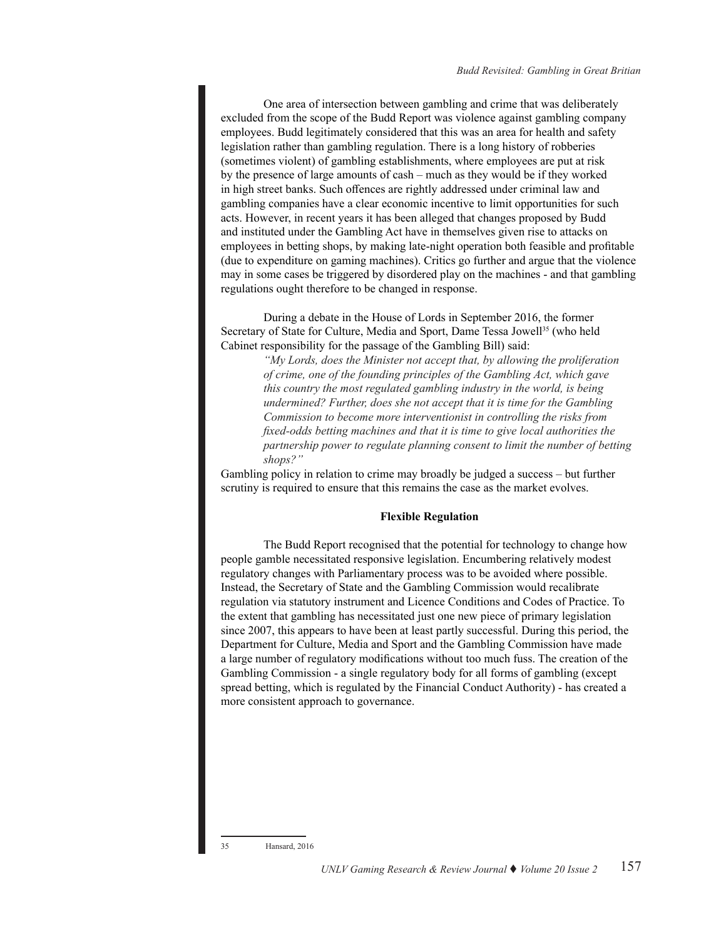One area of intersection between gambling and crime that was deliberately excluded from the scope of the Budd Report was violence against gambling company employees. Budd legitimately considered that this was an area for health and safety legislation rather than gambling regulation. There is a long history of robberies (sometimes violent) of gambling establishments, where employees are put at risk by the presence of large amounts of cash – much as they would be if they worked in high street banks. Such offences are rightly addressed under criminal law and gambling companies have a clear economic incentive to limit opportunities for such acts. However, in recent years it has been alleged that changes proposed by Budd and instituted under the Gambling Act have in themselves given rise to attacks on employees in betting shops, by making late-night operation both feasible and profitable (due to expenditure on gaming machines). Critics go further and argue that the violence may in some cases be triggered by disordered play on the machines - and that gambling regulations ought therefore to be changed in response.

During a debate in the House of Lords in September 2016, the former Secretary of State for Culture, Media and Sport, Dame Tessa Jowell<sup>35</sup> (who held Cabinet responsibility for the passage of the Gambling Bill) said:

> *"My Lords, does the Minister not accept that, by allowing the proliferation of crime, one of the founding principles of the Gambling Act, which gave this country the most regulated gambling industry in the world, is being undermined? Further, does she not accept that it is time for the Gambling Commission to become more interventionist in controlling the risks from fixed-odds betting machines and that it is time to give local authorities the partnership power to regulate planning consent to limit the number of betting shops?"*

Gambling policy in relation to crime may broadly be judged a success – but further scrutiny is required to ensure that this remains the case as the market evolves.

## **Flexible Regulation**

The Budd Report recognised that the potential for technology to change how people gamble necessitated responsive legislation. Encumbering relatively modest regulatory changes with Parliamentary process was to be avoided where possible. Instead, the Secretary of State and the Gambling Commission would recalibrate regulation via statutory instrument and Licence Conditions and Codes of Practice. To the extent that gambling has necessitated just one new piece of primary legislation since 2007, this appears to have been at least partly successful. During this period, the Department for Culture, Media and Sport and the Gambling Commission have made a large number of regulatory modifications without too much fuss. The creation of the Gambling Commission - a single regulatory body for all forms of gambling (except spread betting, which is regulated by the Financial Conduct Authority) - has created a more consistent approach to governance.

Hansard, 2016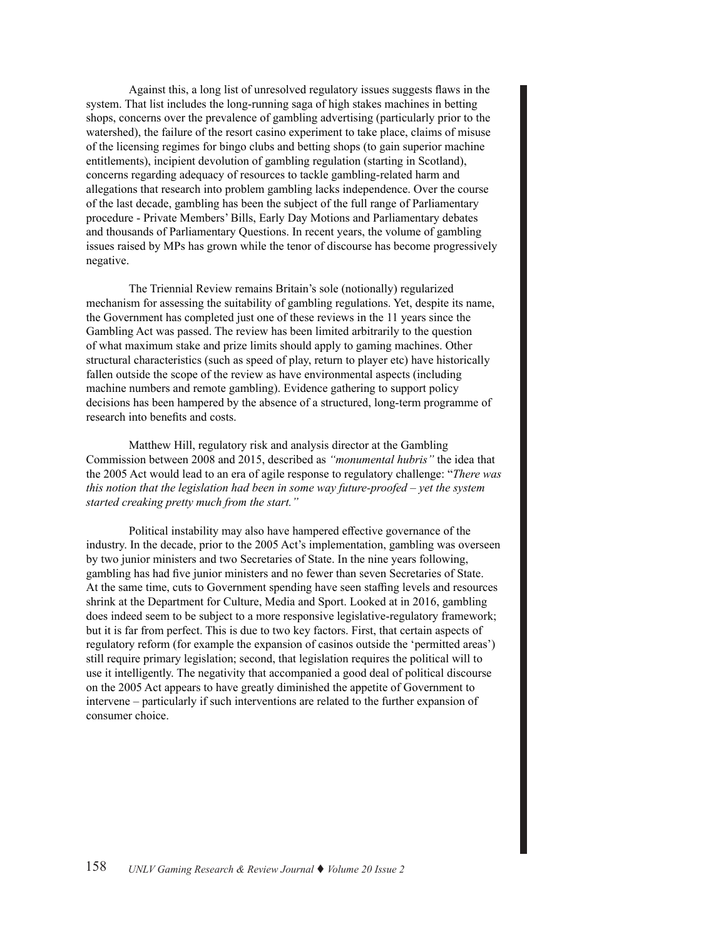Against this, a long list of unresolved regulatory issues suggests flaws in the system. That list includes the long-running saga of high stakes machines in betting shops, concerns over the prevalence of gambling advertising (particularly prior to the watershed), the failure of the resort casino experiment to take place, claims of misuse of the licensing regimes for bingo clubs and betting shops (to gain superior machine entitlements), incipient devolution of gambling regulation (starting in Scotland), concerns regarding adequacy of resources to tackle gambling-related harm and allegations that research into problem gambling lacks independence. Over the course of the last decade, gambling has been the subject of the full range of Parliamentary procedure - Private Members' Bills, Early Day Motions and Parliamentary debates and thousands of Parliamentary Questions. In recent years, the volume of gambling issues raised by MPs has grown while the tenor of discourse has become progressively negative.

The Triennial Review remains Britain's sole (notionally) regularized mechanism for assessing the suitability of gambling regulations. Yet, despite its name, the Government has completed just one of these reviews in the 11 years since the Gambling Act was passed. The review has been limited arbitrarily to the question of what maximum stake and prize limits should apply to gaming machines. Other structural characteristics (such as speed of play, return to player etc) have historically fallen outside the scope of the review as have environmental aspects (including machine numbers and remote gambling). Evidence gathering to support policy decisions has been hampered by the absence of a structured, long-term programme of research into benefits and costs.

Matthew Hill, regulatory risk and analysis director at the Gambling Commission between 2008 and 2015, described as *"monumental hubris"* the idea that the 2005 Act would lead to an era of agile response to regulatory challenge: "*There was this notion that the legislation had been in some way future-proofed – yet the system started creaking pretty much from the start."*

Political instability may also have hampered effective governance of the industry. In the decade, prior to the 2005 Act's implementation, gambling was overseen by two junior ministers and two Secretaries of State. In the nine years following, gambling has had five junior ministers and no fewer than seven Secretaries of State. At the same time, cuts to Government spending have seen staffing levels and resources shrink at the Department for Culture, Media and Sport. Looked at in 2016, gambling does indeed seem to be subject to a more responsive legislative-regulatory framework; but it is far from perfect. This is due to two key factors. First, that certain aspects of regulatory reform (for example the expansion of casinos outside the 'permitted areas') still require primary legislation; second, that legislation requires the political will to use it intelligently. The negativity that accompanied a good deal of political discourse on the 2005 Act appears to have greatly diminished the appetite of Government to intervene – particularly if such interventions are related to the further expansion of consumer choice.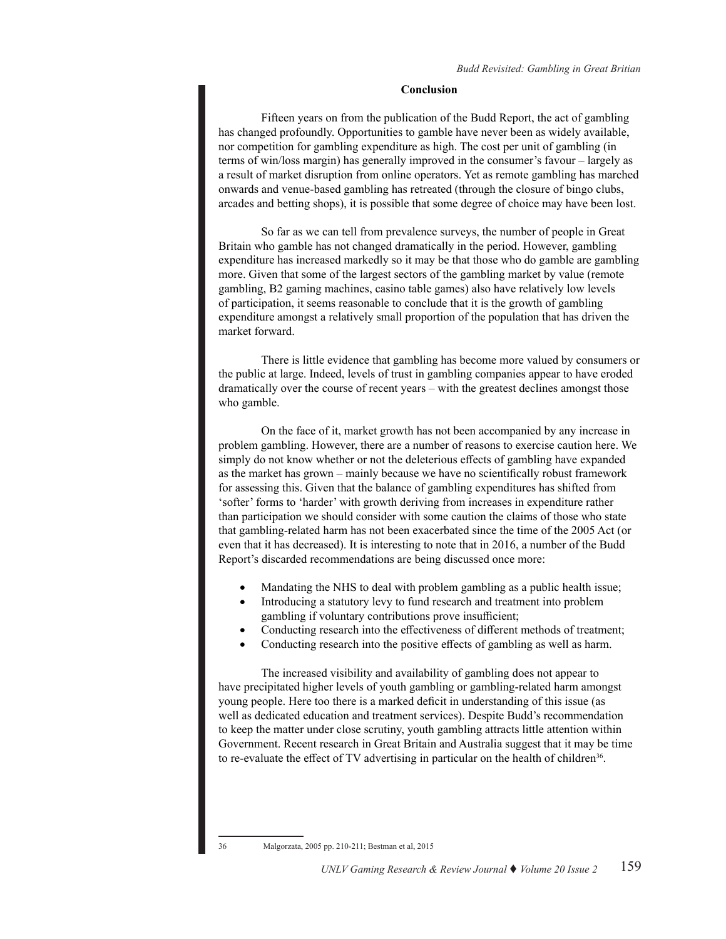#### **Conclusion**

Fifteen years on from the publication of the Budd Report, the act of gambling has changed profoundly. Opportunities to gamble have never been as widely available, nor competition for gambling expenditure as high. The cost per unit of gambling (in terms of win/loss margin) has generally improved in the consumer's favour – largely as a result of market disruption from online operators. Yet as remote gambling has marched onwards and venue-based gambling has retreated (through the closure of bingo clubs, arcades and betting shops), it is possible that some degree of choice may have been lost.

So far as we can tell from prevalence surveys, the number of people in Great Britain who gamble has not changed dramatically in the period. However, gambling expenditure has increased markedly so it may be that those who do gamble are gambling more. Given that some of the largest sectors of the gambling market by value (remote gambling, B2 gaming machines, casino table games) also have relatively low levels of participation, it seems reasonable to conclude that it is the growth of gambling expenditure amongst a relatively small proportion of the population that has driven the market forward.

There is little evidence that gambling has become more valued by consumers or the public at large. Indeed, levels of trust in gambling companies appear to have eroded dramatically over the course of recent years – with the greatest declines amongst those who gamble.

On the face of it, market growth has not been accompanied by any increase in problem gambling. However, there are a number of reasons to exercise caution here. We simply do not know whether or not the deleterious effects of gambling have expanded as the market has grown – mainly because we have no scientifically robust framework for assessing this. Given that the balance of gambling expenditures has shifted from 'softer' forms to 'harder' with growth deriving from increases in expenditure rather than participation we should consider with some caution the claims of those who state that gambling-related harm has not been exacerbated since the time of the 2005 Act (or even that it has decreased). It is interesting to note that in 2016, a number of the Budd Report's discarded recommendations are being discussed once more:

- Mandating the NHS to deal with problem gambling as a public health issue;
- Introducing a statutory levy to fund research and treatment into problem gambling if voluntary contributions prove insufficient;
- Conducting research into the effectiveness of different methods of treatment;
- Conducting research into the positive effects of gambling as well as harm.

The increased visibility and availability of gambling does not appear to have precipitated higher levels of youth gambling or gambling-related harm amongst young people. Here too there is a marked deficit in understanding of this issue (as well as dedicated education and treatment services). Despite Budd's recommendation to keep the matter under close scrutiny, youth gambling attracts little attention within Government. Recent research in Great Britain and Australia suggest that it may be time to re-evaluate the effect of TV advertising in particular on the health of children<sup>36</sup>.

36 Malgorzata, 2005 pp. 210-211; Bestman et al, 2015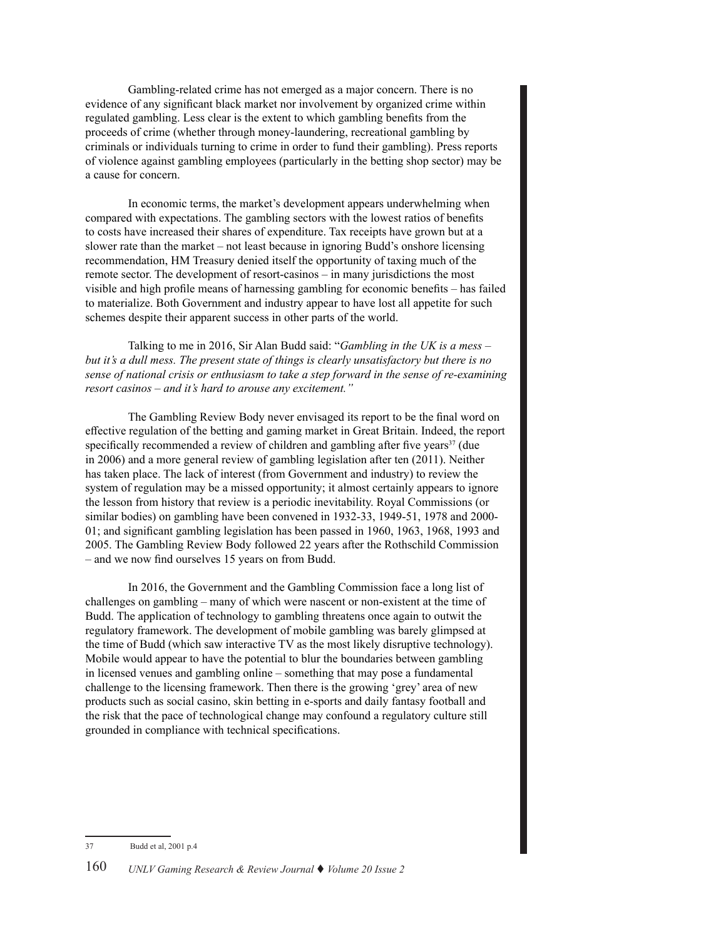Gambling-related crime has not emerged as a major concern. There is no evidence of any significant black market nor involvement by organized crime within regulated gambling. Less clear is the extent to which gambling benefits from the proceeds of crime (whether through money-laundering, recreational gambling by criminals or individuals turning to crime in order to fund their gambling). Press reports of violence against gambling employees (particularly in the betting shop sector) may be a cause for concern.

In economic terms, the market's development appears underwhelming when compared with expectations. The gambling sectors with the lowest ratios of benefits to costs have increased their shares of expenditure. Tax receipts have grown but at a slower rate than the market – not least because in ignoring Budd's onshore licensing recommendation, HM Treasury denied itself the opportunity of taxing much of the remote sector. The development of resort-casinos – in many jurisdictions the most visible and high profile means of harnessing gambling for economic benefits – has failed to materialize. Both Government and industry appear to have lost all appetite for such schemes despite their apparent success in other parts of the world.

Talking to me in 2016, Sir Alan Budd said: "*Gambling in the UK is a mess – but it's a dull mess. The present state of things is clearly unsatisfactory but there is no sense of national crisis or enthusiasm to take a step forward in the sense of re-examining resort casinos – and it's hard to arouse any excitement."*

The Gambling Review Body never envisaged its report to be the final word on effective regulation of the betting and gaming market in Great Britain. Indeed, the report specifically recommended a review of children and gambling after five years $37$  (due in 2006) and a more general review of gambling legislation after ten (2011). Neither has taken place. The lack of interest (from Government and industry) to review the system of regulation may be a missed opportunity; it almost certainly appears to ignore the lesson from history that review is a periodic inevitability. Royal Commissions (or similar bodies) on gambling have been convened in 1932-33, 1949-51, 1978 and 2000- 01; and significant gambling legislation has been passed in 1960, 1963, 1968, 1993 and 2005. The Gambling Review Body followed 22 years after the Rothschild Commission – and we now find ourselves 15 years on from Budd.

In 2016, the Government and the Gambling Commission face a long list of challenges on gambling – many of which were nascent or non-existent at the time of Budd. The application of technology to gambling threatens once again to outwit the regulatory framework. The development of mobile gambling was barely glimpsed at the time of Budd (which saw interactive TV as the most likely disruptive technology). Mobile would appear to have the potential to blur the boundaries between gambling in licensed venues and gambling online – something that may pose a fundamental challenge to the licensing framework. Then there is the growing 'grey' area of new products such as social casino, skin betting in e-sports and daily fantasy football and the risk that the pace of technological change may confound a regulatory culture still grounded in compliance with technical specifications.

<sup>37</sup> Budd et al, 2001 p.4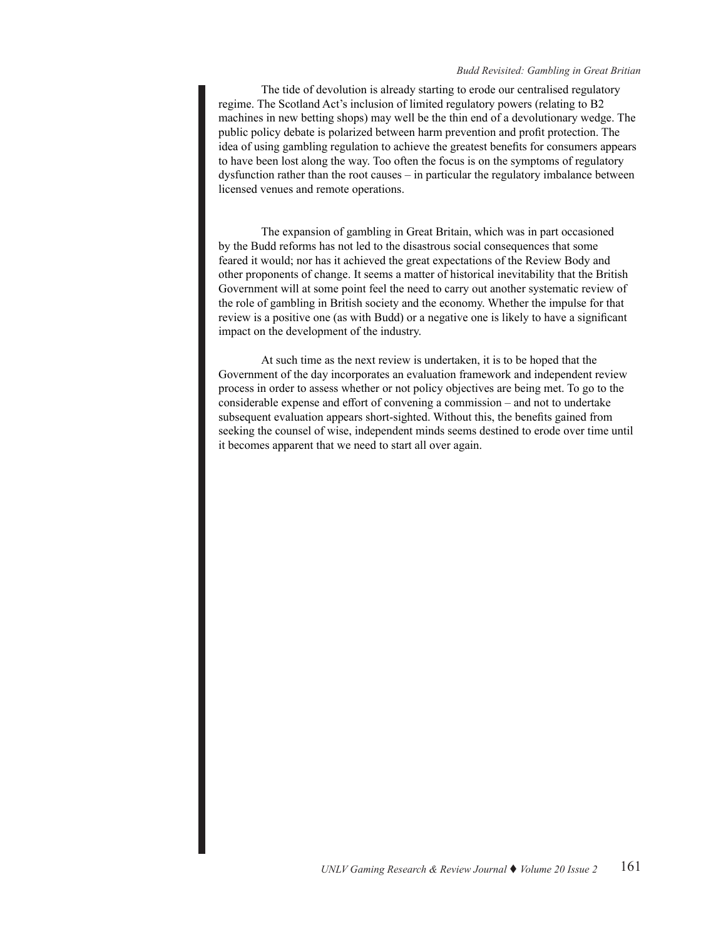#### *Budd Revisited: Gambling in Great Britian*

The tide of devolution is already starting to erode our centralised regulatory regime. The Scotland Act's inclusion of limited regulatory powers (relating to B2 machines in new betting shops) may well be the thin end of a devolutionary wedge. The public policy debate is polarized between harm prevention and profit protection. The idea of using gambling regulation to achieve the greatest benefits for consumers appears to have been lost along the way. Too often the focus is on the symptoms of regulatory dysfunction rather than the root causes – in particular the regulatory imbalance between licensed venues and remote operations.

The expansion of gambling in Great Britain, which was in part occasioned by the Budd reforms has not led to the disastrous social consequences that some feared it would; nor has it achieved the great expectations of the Review Body and other proponents of change. It seems a matter of historical inevitability that the British Government will at some point feel the need to carry out another systematic review of the role of gambling in British society and the economy. Whether the impulse for that review is a positive one (as with Budd) or a negative one is likely to have a significant impact on the development of the industry.

At such time as the next review is undertaken, it is to be hoped that the Government of the day incorporates an evaluation framework and independent review process in order to assess whether or not policy objectives are being met. To go to the considerable expense and effort of convening a commission – and not to undertake subsequent evaluation appears short-sighted. Without this, the benefits gained from seeking the counsel of wise, independent minds seems destined to erode over time until it becomes apparent that we need to start all over again.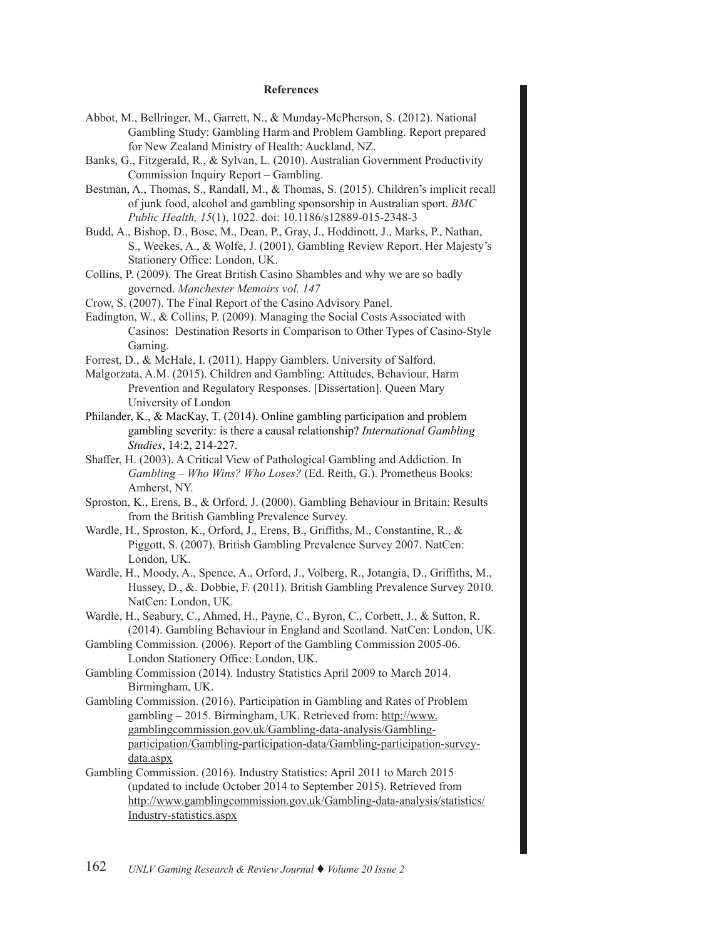#### **References**

- Abbot, M., Bellringer, M., Garrett, N., & Munday-McPherson, S. (2012). National Gambling Study: Gambling Harm and Problem Gambling. Report prepared for New Zealand Ministry of Health: Auckland, NZ.
- Banks, G., Fitzgerald, R., & Sylvan, L. (2010). Australian Government Productivity Commission Inquiry Report – Gambling.
- Bestman, A., Thomas, S., Randall, M., & Thomas, S. (2015). Children's implicit recall of junk food, alcohol and gambling sponsorship in Australian sport. *BMC Public Health, 15*(1), 1022. doi: 10.1186/s12889-015-2348-3
- Budd, A., Bishop, D., Bose, M., Dean, P., Gray, J., Hoddinott, J., Marks, P., Nathan, S., Weekes, A., & Wolfe, J. (2001). Gambling Review Report. Her Majesty's Stationery Office: London, UK.
- Collins, P. (2009). The Great British Casino Shambles and why we are so badly governed. *Manchester Memoirs vol. 147*
- Crow, S. (2007). The Final Report of the Casino Advisory Panel.
- Eadington, W., & Collins, P. (2009). Managing the Social Costs Associated with Casinos: Destination Resorts in Comparison to Other Types of Casino-Style Gaming.
- Forrest, D., & McHale, I. (2011). Happy Gamblers. University of Salford.
- Malgorzata, A.M. (2015). Children and Gambling: Attitudes, Behaviour, Harm Prevention and Regulatory Responses. [Dissertation]. Queen Mary University of London
- Philander, K., & MacKay, T. (2014). Online gambling participation and problem gambling severity: is there a causal relationship? *International Gambling Studies*, 14:2, 214-227.
- Shaffer, H. (2003). A Critical View of Pathological Gambling and Addiction. In *Gambling – Who Wins? Who Loses?* (Ed. Reith, G.). Prometheus Books: Amherst, NY.
- Sproston, K., Erens, B., & Orford, J. (2000). Gambling Behaviour in Britain: Results from the British Gambling Prevalence Survey.
- Wardle, H., Sproston, K., Orford, J., Erens, B., Griffiths, M., Constantine, R., & Piggott, S. (2007). British Gambling Prevalence Survey 2007. NatCen: London, UK.
- Wardle, H., Moody, A., Spence, A., Orford, J., Volberg, R., Jotangia, D., Griffiths, M., Hussey, D., &. Dobbie, F. (2011). British Gambling Prevalence Survey 2010. NatCen: London, UK.
- Wardle, H., Seabury, C., Ahmed, H., Payne, C., Byron, C., Corbett, J., & Sutton, R. (2014). Gambling Behaviour in England and Scotland. NatCen: London, UK.
- Gambling Commission. (2006). Report of the Gambling Commission 2005-06. London Stationery Office: London, UK.
- Gambling Commission (2014). Industry Statistics April 2009 to March 2014. Birmingham, UK.
- Gambling Commission. (2016). Participation in Gambling and Rates of Problem gambling – 2015. Birmingham, UK. Retrieved from: [http://www.](http://www.gamblingcommission.gov.uk/Gambling-data-analysis/Gambling-participation/Gambling-participation-data/Gambling-participation-survey-data.aspx) [gamblingcommission.gov.uk/Gambling-data-analysis/Gambling](http://www.gamblingcommission.gov.uk/Gambling-data-analysis/Gambling-participation/Gambling-participation-data/Gambling-participation-survey-data.aspx)[participation/Gambling-participation-data/Gambling-participation-survey](http://www.gamblingcommission.gov.uk/Gambling-data-analysis/Gambling-participation/Gambling-participation-data/Gambling-participation-survey-data.aspx)[data.aspx](http://www.gamblingcommission.gov.uk/Gambling-data-analysis/Gambling-participation/Gambling-participation-data/Gambling-participation-survey-data.aspx)
- Gambling Commission. (2016). Industry Statistics: April 2011 to March 2015 (updated to include October 2014 to September 2015). Retrieved from [http://www.gamblingcommission.gov.uk/Gambling-data-analysis/statistics/](http://www.gamblingcommission.gov.uk/Gambling-data-analysis/statistics/Industry-statistics.aspx) [Industry-statistics.aspx](http://www.gamblingcommission.gov.uk/Gambling-data-analysis/statistics/Industry-statistics.aspx)